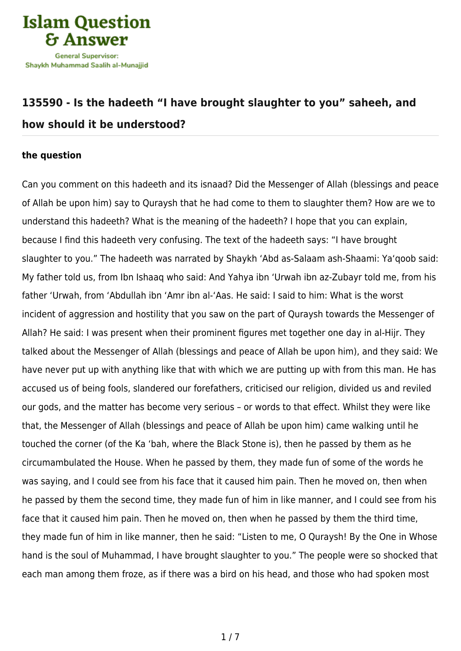

## **[135590 - Is the hadeeth "I have brought slaughter to you" saheeh, and](https://islamqa.com/en/answers/135590/is-the-hadeeth-i-have-brought-slaughter-to-you-saheeh-and-how-should-it-be-understood) [how should it be understood?](https://islamqa.com/en/answers/135590/is-the-hadeeth-i-have-brought-slaughter-to-you-saheeh-and-how-should-it-be-understood)**

## **the question**

Can you comment on this hadeeth and its isnaad? Did the Messenger of Allah (blessings and peace of Allah be upon him) say to Quraysh that he had come to them to slaughter them? How are we to understand this hadeeth? What is the meaning of the hadeeth? I hope that you can explain, because I find this hadeeth very confusing. The text of the hadeeth says: "I have brought slaughter to you." The hadeeth was narrated by Shaykh 'Abd as-Salaam ash-Shaami: Ya'qoob said: My father told us, from Ibn Ishaaq who said: And Yahya ibn 'Urwah ibn az-Zubayr told me, from his father 'Urwah, from 'Abdullah ibn 'Amr ibn al-'Aas. He said: I said to him: What is the worst incident of aggression and hostility that you saw on the part of Quraysh towards the Messenger of Allah? He said: I was present when their prominent figures met together one day in al-Hijr. They talked about the Messenger of Allah (blessings and peace of Allah be upon him), and they said: We have never put up with anything like that with which we are putting up with from this man. He has accused us of being fools, slandered our forefathers, criticised our religion, divided us and reviled our gods, and the matter has become very serious – or words to that effect. Whilst they were like that, the Messenger of Allah (blessings and peace of Allah be upon him) came walking until he touched the corner (of the Ka 'bah, where the Black Stone is), then he passed by them as he circumambulated the House. When he passed by them, they made fun of some of the words he was saying, and I could see from his face that it caused him pain. Then he moved on, then when he passed by them the second time, they made fun of him in like manner, and I could see from his face that it caused him pain. Then he moved on, then when he passed by them the third time, they made fun of him in like manner, then he said: "Listen to me, O Quraysh! By the One in Whose hand is the soul of Muhammad, I have brought slaughter to you." The people were so shocked that each man among them froze, as if there was a bird on his head, and those who had spoken most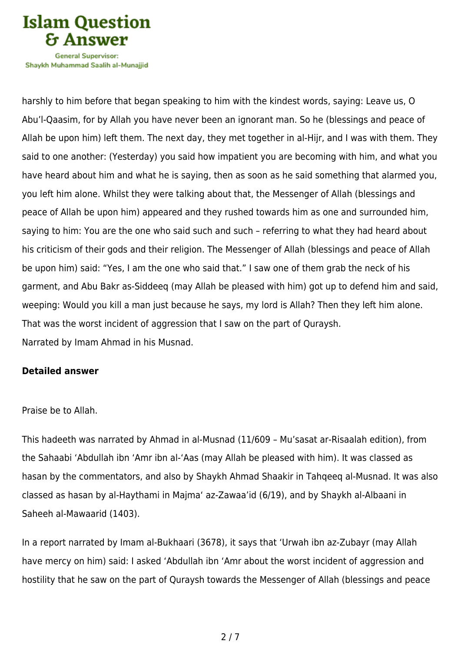

Shavkh Muhammad Saalih al-Munaiiid

harshly to him before that began speaking to him with the kindest words, saying: Leave us, O Abu'l-Qaasim, for by Allah you have never been an ignorant man. So he (blessings and peace of Allah be upon him) left them. The next day, they met together in al-Hijr, and I was with them. They said to one another: (Yesterday) you said how impatient you are becoming with him, and what you have heard about him and what he is saying, then as soon as he said something that alarmed you, you left him alone. Whilst they were talking about that, the Messenger of Allah (blessings and peace of Allah be upon him) appeared and they rushed towards him as one and surrounded him, saying to him: You are the one who said such and such – referring to what they had heard about his criticism of their gods and their religion. The Messenger of Allah (blessings and peace of Allah be upon him) said: "Yes, I am the one who said that." I saw one of them grab the neck of his garment, and Abu Bakr as-Siddeeq (may Allah be pleased with him) got up to defend him and said, weeping: Would you kill a man just because he says, my lord is Allah? Then they left him alone. That was the worst incident of aggression that I saw on the part of Quraysh. Narrated by Imam Ahmad in his Musnad.

## **Detailed answer**

Praise be to Allah.

This hadeeth was narrated by Ahmad in al-Musnad (11/609 – Mu'sasat ar-Risaalah edition), from the Sahaabi 'Abdullah ibn 'Amr ibn al-'Aas (may Allah be pleased with him). It was classed as hasan by the commentators, and also by Shaykh Ahmad Shaakir in Tahqeeq al-Musnad. It was also classed as hasan by al-Haythami in Majma' az-Zawaa'id (6/19), and by Shaykh al-Albaani in Saheeh al-Mawaarid (1403).

In a report narrated by Imam al-Bukhaari (3678), it says that 'Urwah ibn az-Zubayr (may Allah have mercy on him) said: I asked 'Abdullah ibn 'Amr about the worst incident of aggression and hostility that he saw on the part of Quraysh towards the Messenger of Allah (blessings and peace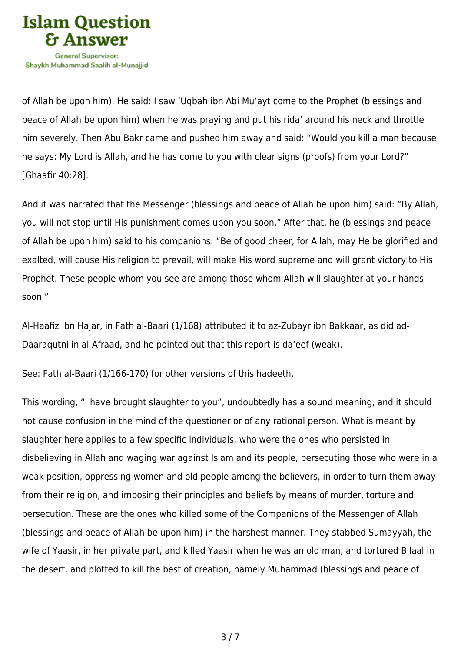

of Allah be upon him). He said: I saw 'Uqbah ibn Abi Mu'ayt come to the Prophet (blessings and peace of Allah be upon him) when he was praying and put his rida' around his neck and throttle him severely. Then Abu Bakr came and pushed him away and said: "Would you kill a man because he says: My Lord is Allah, and he has come to you with clear signs (proofs) from your Lord?" [Ghaafir 40:28].

And it was narrated that the Messenger (blessings and peace of Allah be upon him) said: "By Allah, you will not stop until His punishment comes upon you soon." After that, he (blessings and peace of Allah be upon him) said to his companions: "Be of good cheer, for Allah, may He be glorified and exalted, will cause His religion to prevail, will make His word supreme and will grant victory to His Prophet. These people whom you see are among those whom Allah will slaughter at your hands soon."

Al-Haafiz Ibn Hajar, in Fath al-Baari (1/168) attributed it to az-Zubayr ibn Bakkaar, as did ad-Daaraqutni in al-Afraad, and he pointed out that this report is da'eef (weak).

See: Fath al-Baari (1/166-170) for other versions of this hadeeth.

This wording, "I have brought slaughter to you", undoubtedly has a sound meaning, and it should not cause confusion in the mind of the questioner or of any rational person. What is meant by slaughter here applies to a few specific individuals, who were the ones who persisted in disbelieving in Allah and waging war against Islam and its people, persecuting those who were in a weak position, oppressing women and old people among the believers, in order to turn them away from their religion, and imposing their principles and beliefs by means of murder, torture and persecution. These are the ones who killed some of the Companions of the Messenger of Allah (blessings and peace of Allah be upon him) in the harshest manner. They stabbed Sumayyah, the wife of Yaasir, in her private part, and killed Yaasir when he was an old man, and tortured Bilaal in the desert, and plotted to kill the best of creation, namely Muhammad (blessings and peace of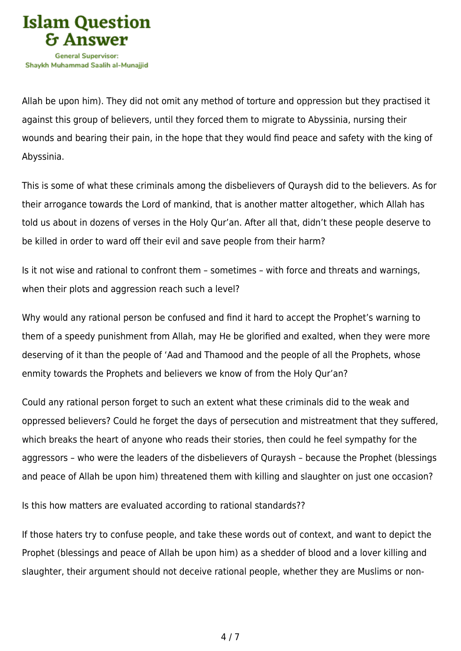

Allah be upon him). They did not omit any method of torture and oppression but they practised it against this group of believers, until they forced them to migrate to Abyssinia, nursing their wounds and bearing their pain, in the hope that they would find peace and safety with the king of Abyssinia.

This is some of what these criminals among the disbelievers of Quraysh did to the believers. As for their arrogance towards the Lord of mankind, that is another matter altogether, which Allah has told us about in dozens of verses in the Holy Qur'an. After all that, didn't these people deserve to be killed in order to ward off their evil and save people from their harm?

Is it not wise and rational to confront them – sometimes – with force and threats and warnings, when their plots and aggression reach such a level?

Why would any rational person be confused and find it hard to accept the Prophet's warning to them of a speedy punishment from Allah, may He be glorified and exalted, when they were more deserving of it than the people of 'Aad and Thamood and the people of all the Prophets, whose enmity towards the Prophets and believers we know of from the Holy Qur'an?

Could any rational person forget to such an extent what these criminals did to the weak and oppressed believers? Could he forget the days of persecution and mistreatment that they suffered, which breaks the heart of anyone who reads their stories, then could he feel sympathy for the aggressors – who were the leaders of the disbelievers of Quraysh – because the Prophet (blessings and peace of Allah be upon him) threatened them with killing and slaughter on just one occasion?

Is this how matters are evaluated according to rational standards??

If those haters try to confuse people, and take these words out of context, and want to depict the Prophet (blessings and peace of Allah be upon him) as a shedder of blood and a lover killing and slaughter, their argument should not deceive rational people, whether they are Muslims or non-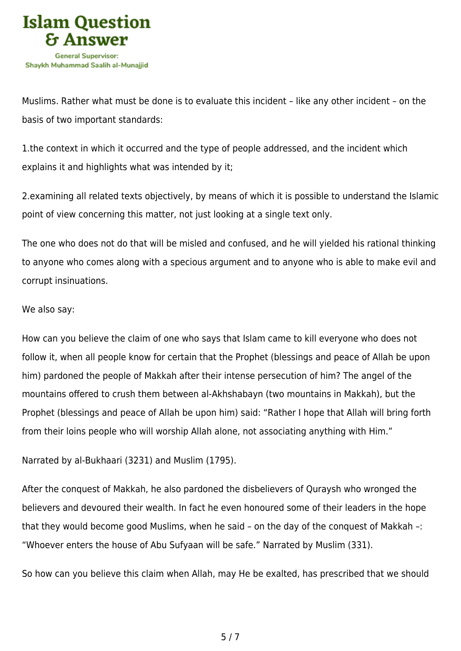

Muslims. Rather what must be done is to evaluate this incident – like any other incident – on the basis of two important standards:

1.the context in which it occurred and the type of people addressed, and the incident which explains it and highlights what was intended by it;

2.examining all related texts objectively, by means of which it is possible to understand the Islamic point of view concerning this matter, not just looking at a single text only.

The one who does not do that will be misled and confused, and he will yielded his rational thinking to anyone who comes along with a specious argument and to anyone who is able to make evil and corrupt insinuations.

## We also say:

How can you believe the claim of one who says that Islam came to kill everyone who does not follow it, when all people know for certain that the Prophet (blessings and peace of Allah be upon him) pardoned the people of Makkah after their intense persecution of him? The angel of the mountains offered to crush them between al-Akhshabayn (two mountains in Makkah), but the Prophet (blessings and peace of Allah be upon him) said: "Rather I hope that Allah will bring forth from their loins people who will worship Allah alone, not associating anything with Him."

Narrated by al-Bukhaari (3231) and Muslim (1795).

After the conquest of Makkah, he also pardoned the disbelievers of Quraysh who wronged the believers and devoured their wealth. In fact he even honoured some of their leaders in the hope that they would become good Muslims, when he said – on the day of the conquest of Makkah –: "Whoever enters the house of Abu Sufyaan will be safe." Narrated by Muslim (331).

So how can you believe this claim when Allah, may He be exalted, has prescribed that we should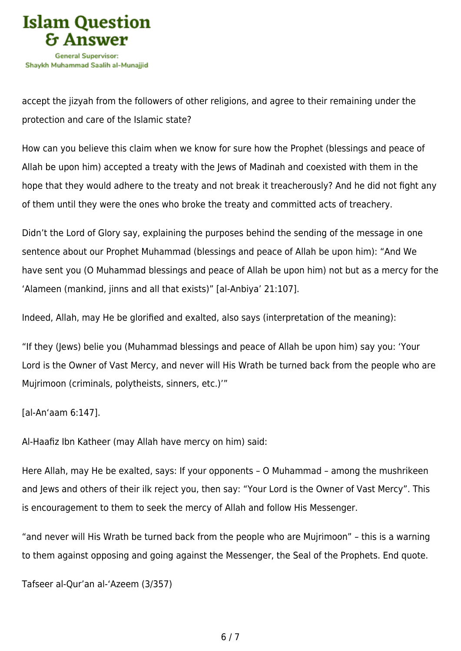

accept the jizyah from the followers of other religions, and agree to their remaining under the protection and care of the Islamic state?

How can you believe this claim when we know for sure how the Prophet (blessings and peace of Allah be upon him) accepted a treaty with the Jews of Madinah and coexisted with them in the hope that they would adhere to the treaty and not break it treacherously? And he did not fight any of them until they were the ones who broke the treaty and committed acts of treachery.

Didn't the Lord of Glory say, explaining the purposes behind the sending of the message in one sentence about our Prophet Muhammad (blessings and peace of Allah be upon him): "And We have sent you (O Muhammad blessings and peace of Allah be upon him) not but as a mercy for the 'Alameen (mankind, jinns and all that exists)" [al-Anbiya' 21:107].

Indeed, Allah, may He be glorified and exalted, also says (interpretation of the meaning):

"If they (Jews) belie you (Muhammad blessings and peace of Allah be upon him) say you: 'Your Lord is the Owner of Vast Mercy, and never will His Wrath be turned back from the people who are Mujrimoon (criminals, polytheists, sinners, etc.)'"

[al-An'aam 6:147].

Al-Haafiz Ibn Katheer (may Allah have mercy on him) said:

Here Allah, may He be exalted, says: If your opponents – O Muhammad – among the mushrikeen and Jews and others of their ilk reject you, then say: "Your Lord is the Owner of Vast Mercy". This is encouragement to them to seek the mercy of Allah and follow His Messenger.

"and never will His Wrath be turned back from the people who are Mujrimoon" – this is a warning to them against opposing and going against the Messenger, the Seal of the Prophets. End quote.

Tafseer al-Qur'an al-'Azeem (3/357)